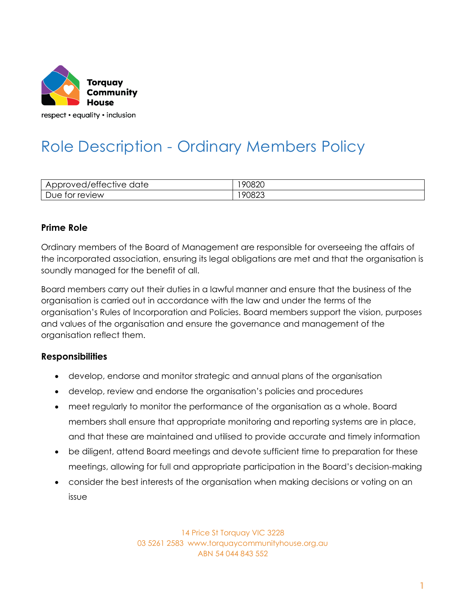

respect • equality • inclusion

# Role Description - Ordinary Members Policy

| $\sim$<br>$\overline{\phantom{a}}$<br>'AttACtivA<br>anto<br>16<br>$\overline{\mathbf{H}}$<br>៶៴⊷<br>11 C<br>◡<br>◡<br>ີ<br>. . | $\sim$<br>or<br>י<br>л<br>ıс |
|--------------------------------------------------------------------------------------------------------------------------------|------------------------------|
| <b>AVIAW</b><br>∣≏<br>OL<br>ັ<br>י אישו<br>◡                                                                                   | o<br>∵×دا                    |

### **Prime Role**

Ordinary members of the Board of Management are responsible for overseeing the affairs of the incorporated association, ensuring its legal obligations are met and that the organisation is soundly managed for the benefit of all.

Board members carry out their duties in a lawful manner and ensure that the business of the organisation is carried out in accordance with the law and under the terms of the organisation's Rules of Incorporation and Policies. Board members support the vision, purposes and values of the organisation and ensure the governance and management of the organisation reflect them.

#### **Responsibilities**

- develop, endorse and monitor strategic and annual plans of the organisation
- develop, review and endorse the organisation's policies and procedures
- meet regularly to monitor the performance of the organisation as a whole. Board members shall ensure that appropriate monitoring and reporting systems are in place, and that these are maintained and utilised to provide accurate and timely information
- be diligent, attend Board meetings and devote sufficient time to preparation for these meetings, allowing for full and appropriate participation in the Board's decision-making
- consider the best interests of the organisation when making decisions or voting on an issue